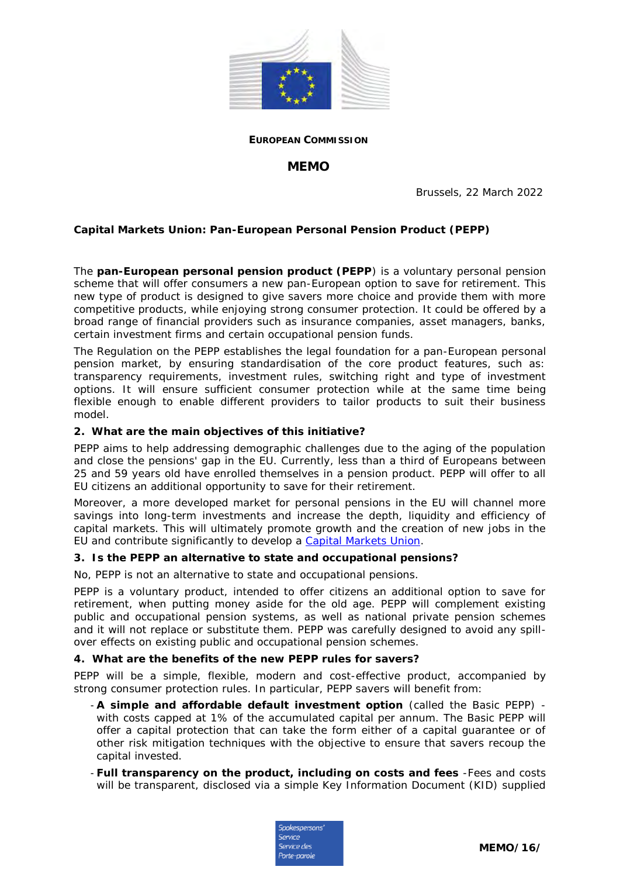

**EUROPEAN COMMISSION**

# **MEMO**

Brussels, 22 March 2022

**Capital Markets Union: Pan-European Personal Pension Product (PEPP)**

The **pan-European personal pension product (PEPP**) is a voluntary personal pension scheme that will offer consumers a new pan-European option to save for retirement. This new type of product is designed to give savers more choice and provide them with more competitive products, while enjoying strong consumer protection. It could be offered by a broad range of financial providers such as insurance companies, asset managers, banks, certain investment firms and certain occupational pension funds.

The Regulation on the PEPP establishes the legal foundation for a pan-European personal pension market, by ensuring standardisation of the core product features, such as: transparency requirements, investment rules, switching right and type of investment options. It will ensure sufficient consumer protection while at the same time being flexible enough to enable different providers to tailor products to suit their business model.

**2. What are the main objectives of this initiative?**

PEPP aims to help addressing demographic challenges due to the aging of the population and close the pensions' gap in the EU. Currently, less than a third of Europeans between 25 and 59 years old have enrolled themselves in a pension product. PEPP will offer to all EU citizens an additional opportunity to save for their retirement.

Moreover, a more developed market for personal pensions in the EU will channel more savings into long-term investments and increase the depth, liquidity and efficiency of capital markets. This will ultimately promote growth and the creation of new jobs in the EU and contribute significantly to develop a [Capital Markets Union.](https://ec.europa.eu/info/business-economy-euro/growth-and-investment/capital-markets-union/what-capital-markets-union_en)

**3. Is the PEPP an alternative to state and occupational pensions?**

No, PEPP is not an alternative to state and occupational pensions.

PEPP is a voluntary product, intended to offer citizens an additional option to save for retirement, when putting money aside for the old age. PEPP will complement existing public and occupational pension systems, as well as national private pension schemes and it will not replace or substitute them. PEPP was carefully designed to avoid any spillover effects on existing public and occupational pension schemes.

**4. What are the benefits of the new PEPP rules for savers?**

PEPP will be a simple, flexible, modern and cost-effective product, accompanied by strong consumer protection rules. In particular, PEPP savers will benefit from:

- **A simple and affordable default investment option** (called the Basic PEPP) with costs capped at 1% of the accumulated capital per annum. The Basic PEPP will offer a capital protection that can take the form either of a capital guarantee or of other risk mitigation techniques with the objective to ensure that savers recoup the capital invested.
- **Full transparency on the product, including on costs and fees** -Fees and costs will be transparent, disclosed via a simple Key Information Document (KID) supplied

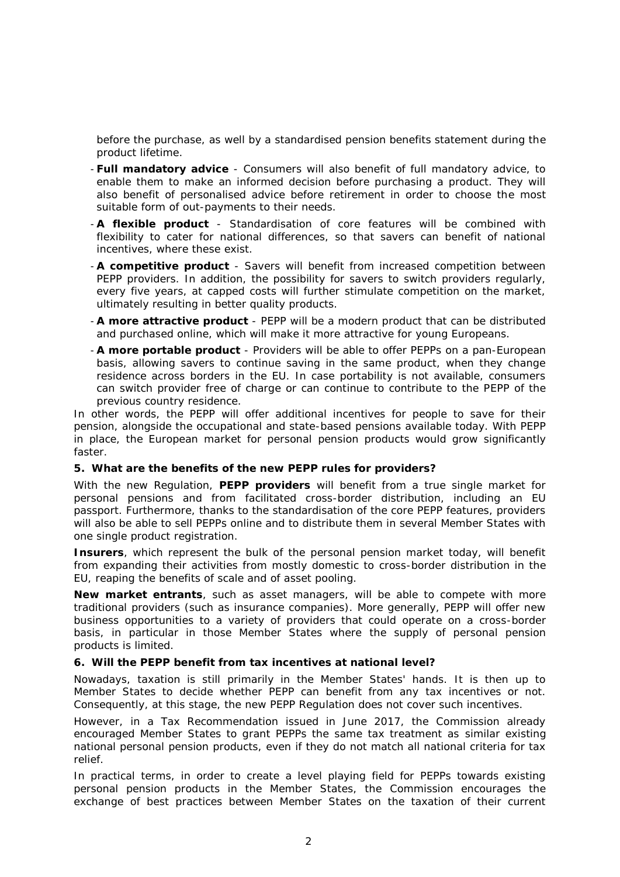before the purchase, as well by a standardised pension benefits statement during the product lifetime.

- **Full mandatory advice**  Consumers will also benefit of full mandatory advice, to enable them to make an informed decision before purchasing a product. They will also benefit of personalised advice before retirement in order to choose the most suitable form of out-payments to their needs.
- **A flexible product**  Standardisation of core features will be combined with flexibility to cater for national differences, so that savers can benefit of national incentives, where these exist.
- **A competitive product**  Savers will benefit from increased competition between PEPP providers. In addition, the possibility for savers to switch providers regularly, every five years, at capped costs will further stimulate competition on the market, ultimately resulting in better quality products.
- **A more attractive product**  PEPP will be a modern product that can be distributed and purchased online, which will make it more attractive for young Europeans.
- **A more portable product**  Providers will be able to offer PEPPs on a pan-European basis, allowing savers to continue saving in the same product, when they change residence across borders in the EU. In case portability is not available, consumers can switch provider free of charge or can continue to contribute to the PEPP of the previous country residence.

In other words, the PEPP will offer additional incentives for people to save for their pension, alongside the occupational and state-based pensions available today. With PEPP in place, the European market for personal pension products would grow significantly faster.

**5. What are the benefits of the new PEPP rules for providers?**

With the new Regulation, **PEPP providers** will benefit from a true single market for personal pensions and from facilitated cross-border distribution, including an EU passport. Furthermore, thanks to the standardisation of the core PEPP features, providers will also be able to sell PEPPs online and to distribute them in several Member States with one single product registration.

**Insurers**, which represent the bulk of the personal pension market today, will benefit from expanding their activities from mostly domestic to cross-border distribution in the EU, reaping the benefits of scale and of asset pooling.

**New market entrants**, such as asset managers, will be able to compete with more traditional providers (such as insurance companies). More generally, PEPP will offer new business opportunities to a variety of providers that could operate on a cross-border basis, in particular in those Member States where the supply of personal pension products is limited.

**6. Will the PEPP benefit from tax incentives at national level?**

Nowadays, taxation is still primarily in the Member States' hands. It is then up to Member States to decide whether PEPP can benefit from any tax incentives or not. Consequently, at this stage, the new PEPP Regulation does not cover such incentives.

However, in a Tax Recommendation issued in June 2017, the Commission already encouraged Member States to grant PEPPs the same tax treatment as similar existing national personal pension products, even if they do not match all national criteria for tax relief.

In practical terms, in order to create a level playing field for PEPPs towards existing personal pension products in the Member States, the Commission encourages the exchange of best practices between Member States on the taxation of their current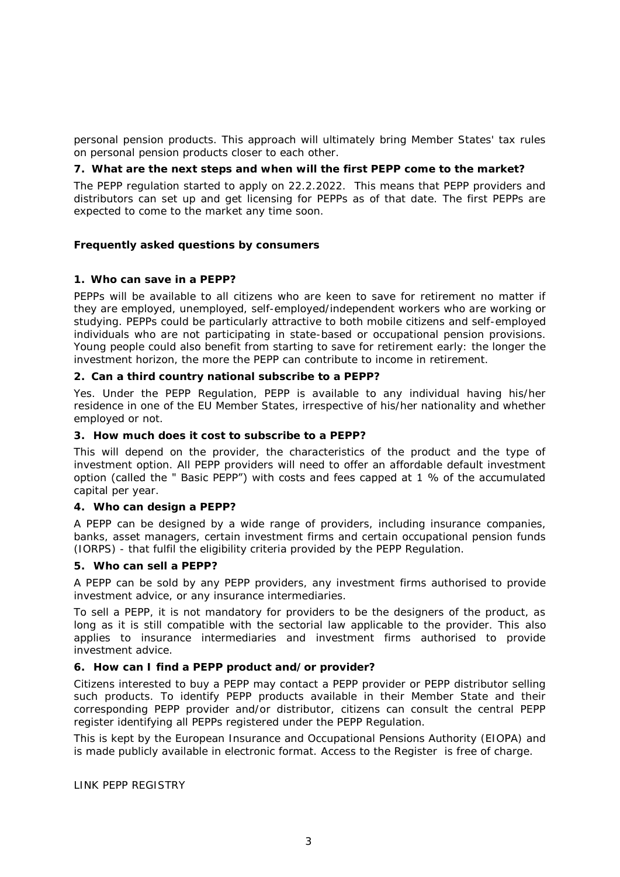personal pension products. This approach will ultimately bring Member States' tax rules on personal pension products closer to each other.

**7. What are the next steps and when will the first PEPP come to the market?**

The PEPP regulation started to apply on 22.2.2022. This means that PEPP providers and distributors can set up and get licensing for PEPPs as of that date. The first PEPPs are expected to come to the market any time soon.

**Frequently asked questions by consumers**

**1. Who can save in a PEPP?**

PEPPs will be available to all citizens who are keen to save for retirement no matter if they are employed, unemployed, self-employed/independent workers who are working or studying. PEPPs could be particularly attractive to both mobile citizens and self-employed individuals who are not participating in state-based or occupational pension provisions. Young people could also benefit from starting to save for retirement early: the longer the investment horizon, the more the PEPP can contribute to income in retirement.

**2. Can a third country national subscribe to a PEPP?**

Yes. Under the PEPP Regulation, PEPP is available to any individual having his/her residence in one of the EU Member States, irrespective of his/her nationality and whether employed or not.

**3. How much does it cost to subscribe to a PEPP?**

This will depend on the provider, the characteristics of the product and the type of investment option. All PEPP providers will need to offer an affordable default investment option (called the " Basic PEPP") with costs and fees capped at 1 % of the accumulated capital per year.

**4. Who can design a PEPP?**

A PEPP can be designed by a wide range of providers, including insurance companies, banks, asset managers, certain investment firms and certain occupational pension funds (IORPS) - that fulfil the eligibility criteria provided by the PEPP Regulation.

**5. Who can sell a PEPP?**

A PEPP can be sold by any PEPP providers, any investment firms authorised to provide investment advice, or any insurance intermediaries.

To sell a PEPP, it is not mandatory for providers to be the designers of the product, as long as it is still compatible with the sectorial law applicable to the provider. This also applies to insurance intermediaries and investment firms authorised to provide investment advice.

**6. How can I find a PEPP product and/or provider?**

Citizens interested to buy a PEPP may contact a PEPP provider or PEPP distributor selling such products. To identify PEPP products available in their Member State and their corresponding PEPP provider and/or distributor, citizens can consult the central PEPP register identifying all PEPPs registered under the PEPP Regulation.

This is kept by the European Insurance and Occupational Pensions Authority (EIOPA) and is made publicly available in electronic format. Access to the Register is free of charge.

LINK PEPP REGISTRY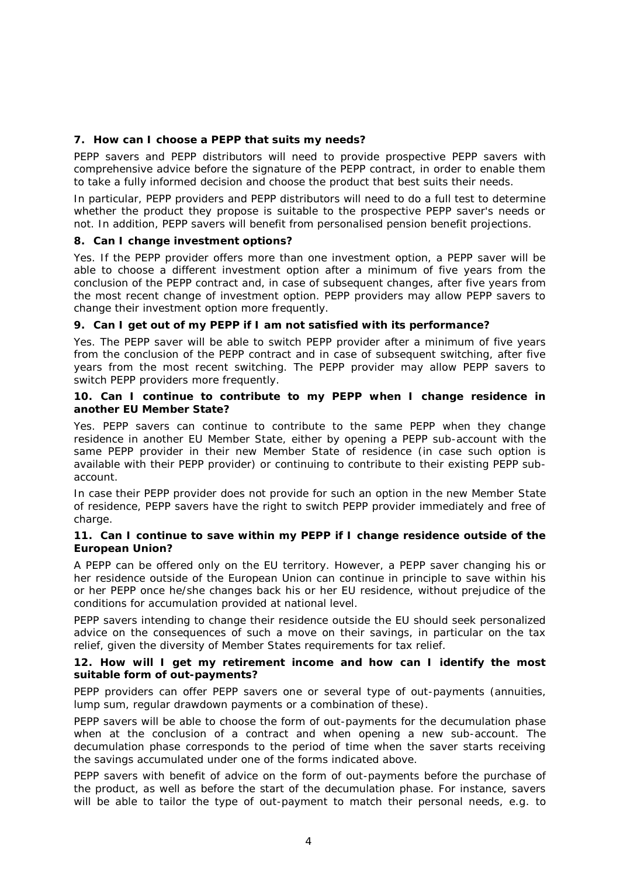**7. How can I choose a PEPP that suits my needs?**

PEPP savers and PEPP distributors will need to provide prospective PEPP savers with comprehensive advice before the signature of the PEPP contract, in order to enable them to take a fully informed decision and choose the product that best suits their needs.

In particular, PEPP providers and PEPP distributors will need to do a full test to determine whether the product they propose is suitable to the prospective PEPP saver's needs or not. In addition, PEPP savers will benefit from personalised pension benefit projections.

**8. Can I change investment options?**

Yes. If the PEPP provider offers more than one investment option, a PEPP saver will be able to choose a different investment option after a minimum of five years from the conclusion of the PEPP contract and, in case of subsequent changes, after five years from the most recent change of investment option. PEPP providers may allow PEPP savers to change their investment option more frequently.

**9. Can I get out of my PEPP if I am not satisfied with its performance?**

Yes. The PEPP saver will be able to switch PEPP provider after a minimum of five years from the conclusion of the PEPP contract and in case of subsequent switching, after five years from the most recent switching. The PEPP provider may allow PEPP savers to switch PEPP providers more frequently.

**10. Can I continue to contribute to my PEPP when I change residence in another EU Member State?**

Yes. PEPP savers can continue to contribute to the same PEPP when they change residence in another EU Member State, either by opening a PEPP sub-account with the same PEPP provider in their new Member State of residence (in case such option is available with their PEPP provider) or continuing to contribute to their existing PEPP subaccount.

In case their PEPP provider does not provide for such an option in the new Member State of residence, PEPP savers have the right to switch PEPP provider immediately and free of charge.

**11. Can I continue to save within my PEPP if I change residence outside of the European Union?**

A PEPP can be offered only on the EU territory. However, a PEPP saver changing his or her residence outside of the European Union can continue in principle to save within his or her PEPP once he/she changes back his or her EU residence, without prejudice of the conditions for accumulation provided at national level.

PEPP savers intending to change their residence outside the EU should seek personalized advice on the consequences of such a move on their savings, in particular on the tax relief, given the diversity of Member States requirements for tax relief.

**12. How will I get my retirement income and how can I identify the most suitable form of out-payments?**

PEPP providers can offer PEPP savers one or several type of out-payments (annuities, lump sum, regular drawdown payments or a combination of these).

PEPP savers will be able to choose the form of out-payments for the decumulation phase when at the conclusion of a contract and when opening a new sub-account. The decumulation phase corresponds to the period of time when the saver starts receiving the savings accumulated under one of the forms indicated above.

PEPP savers with benefit of advice on the form of out-payments before the purchase of the product, as well as before the start of the decumulation phase. For instance, savers will be able to tailor the type of out-payment to match their personal needs, e.g. to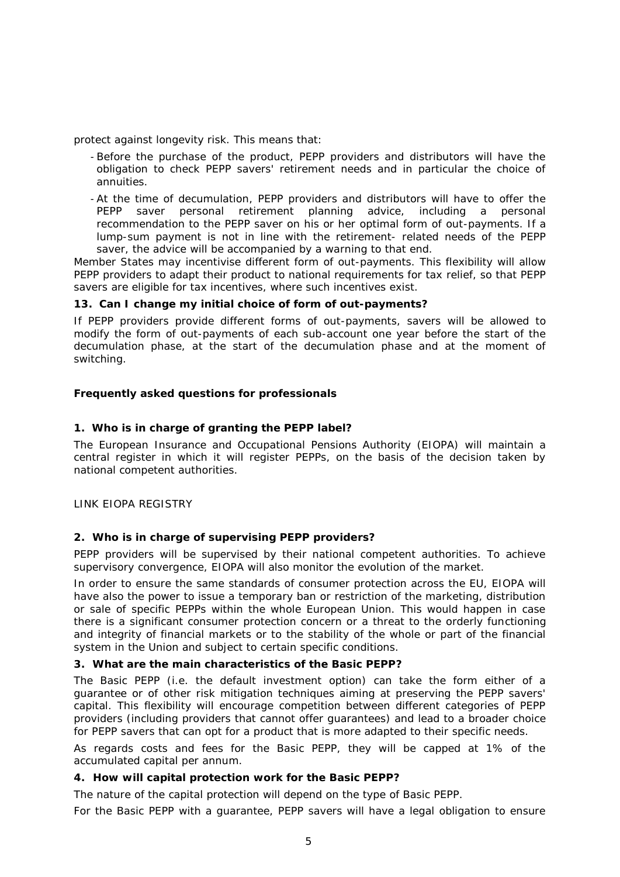protect against longevity risk. This means that:

- Before the purchase of the product, PEPP providers and distributors will have the obligation to check PEPP savers' retirement needs and in particular the choice of annuities.
- At the time of decumulation, PEPP providers and distributors will have to offer the PEPP saver personal retirement planning advice, including a personal recommendation to the PEPP saver on his or her optimal form of out-payments. If a lump-sum payment is not in line with the retirement- related needs of the PEPP saver, the advice will be accompanied by a warning to that end.

Member States may incentivise different form of out-payments. This flexibility will allow PEPP providers to adapt their product to national requirements for tax relief, so that PEPP savers are eligible for tax incentives, where such incentives exist.

**13. Can I change my initial choice of form of out-payments?**

If PEPP providers provide different forms of out-payments, savers will be allowed to modify the form of out-payments of each sub-account one year before the start of the decumulation phase, at the start of the decumulation phase and at the moment of switching.

**Frequently asked questions for professionals**

**1. Who is in charge of granting the PEPP label?**

The European Insurance and Occupational Pensions Authority (EIOPA) will maintain a central register in which it will register PEPPs, on the basis of the decision taken by national competent authorities.

LINK EIOPA REGISTRY

### **2. Who is in charge of supervising PEPP providers?**

PEPP providers will be supervised by their national competent authorities. To achieve supervisory convergence, EIOPA will also monitor the evolution of the market.

In order to ensure the same standards of consumer protection across the EU, EIOPA will have also the power to issue a temporary ban or restriction of the marketing, distribution or sale of specific PEPPs within the whole European Union. This would happen in case there is a significant consumer protection concern or a threat to the orderly functioning and integrity of financial markets or to the stability of the whole or part of the financial system in the Union and subject to certain specific conditions.

**3. What are the main characteristics of the Basic PEPP?**

The Basic PEPP (i.e. the default investment option) can take the form either of a guarantee or of other risk mitigation techniques aiming at preserving the PEPP savers' capital. This flexibility will encourage competition between different categories of PEPP providers (including providers that cannot offer guarantees) and lead to a broader choice for PEPP savers that can opt for a product that is more adapted to their specific needs.

As regards costs and fees for the Basic PEPP, they will be capped at 1% of the accumulated capital per annum.

**4. How will capital protection work for the Basic PEPP?**

The nature of the capital protection will depend on the type of Basic PEPP.

For the Basic PEPP with a guarantee, PEPP savers will have a legal obligation to ensure